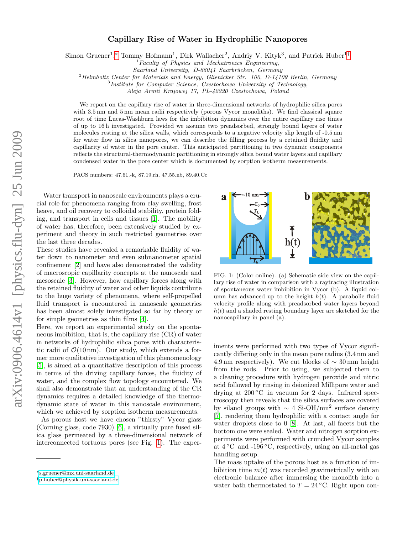## Capillary Rise of Water in Hydrophilic Nanopores

Simon Gruener<sup>1</sup>,\* Tommy Hofmann<sup>1</sup>, Dirk Wallacher<sup>2</sup>, Andriy V. Kityk<sup>3</sup>, and Patrick Huber<sup>1[†](#page-0-1)</sup>

<sup>1</sup>Faculty of Physics and Mechatronics Engineering,

Saarland University, D-66041 Saarbrücken, Germany

 $^{2}$ Helmholtz Center for Materials and Energy, Glienicker Str. 100, D-14109 Berlin, Germany

<sup>3</sup>Institute for Computer Science, Czestochowa University of Technology,

Aleja Armii Krajowej 17, PL-42220 Czestochowa, Poland

We report on the capillary rise of water in three-dimensional networks of hydrophilic silica pores with 3.5 nm and 5 nm mean radii respectively (porous Vycor monoliths). We find classical square root of time Lucas-Washburn laws for the imbibition dynamics over the entire capillary rise times of up to 16 h investigated. Provided we assume two preadsorbed, strongly bound layers of water molecules resting at the silica walls, which corresponds to a negative velocity slip length of -0.5 nm for water flow in silica nanopores, we can describe the filling process by a retained fluidity and capillarity of water in the pore center. This anticipated partitioning in two dynamic components reflects the structural-thermodynamic partitioning in strongly silica bound water layers and capillary condensed water in the pore center which is documented by sorption isotherm measurements.

PACS numbers: 47.61.-k, 87.19.rh, 47.55.nb, 89.40.Cc

Water transport in nanoscale environments plays a crucial role for phenomena ranging from clay swelling, frost heave, and oil recovery to colloidal stability, protein folding, and transport in cells and tissues [\[1\]](#page-3-0). The mobility of water has, therefore, been extensively studied by experiment and theory in such restricted geometries over the last three decades.

These studies have revealed a remarkable fluidity of water down to nanometer and even subnanometer spatial confinement [\[2\]](#page-3-1) and have also demonstrated the validity of macroscopic capillarity concepts at the nanoscale and mesoscale [\[3\]](#page-3-2). However, how capillary forces along with the retained fluidity of water and other liquids contribute to the huge variety of phenomena, where self-propelled fluid transport is encountered in nanoscale geometries has been almost solely investigated so far by theory or for simple geometries as thin films [\[4\]](#page-3-3).

Here, we report an experimental study on the spontaneous imbibition, that is, the capillary rise (CR) of water in networks of hydrophilic silica pores with characteristic radii of  $\mathcal{O}(10 \,\text{nm})$ . Our study, which extends a former more qualitative investigation of this phenomenology [\[5\]](#page-3-4), is aimed at a quantitative description of this process in terms of the driving capillary forces, the fluidity of water, and the complex flow topology encountered. We shall also demonstrate that an understanding of the CR dynamics requires a detailed knowledge of the thermodynamic state of water in this nanoscale environment, which we achieved by sorption isotherm measurements.

As porous host we have chosen "thirsty" Vycor glass (Corning glass, code 7930) [\[6\]](#page-3-5), a virtually pure fused silica glass permeated by a three-dimensional network of interconnected tortuous pores (see Fig. [1\)](#page-0-2). The exper-



<span id="page-0-2"></span>FIG. 1: (Color online). (a) Schematic side view on the capillary rise of water in comparison with a raytracing illustration of spontaneous water imbibition in Vycor (b). A liquid column has advanced up to the height  $h(t)$ . A parabolic fluid velocity profile along with preadsorbed water layers beyond  $h(t)$  and a shaded resting boundary layer are sketched for the nanocapillary in panel (a).

iments were performed with two types of Vycor significantly differing only in the mean pore radius (3.4 nm and 4.9 nm respectively). We cut blocks of  $\sim$  30 mm height from the rods. Prior to using, we subjected them to a cleaning procedure with hydrogen peroxide and nitric acid followed by rinsing in deionized Millipore water and drying at  $200\degree C$  in vacuum for 2 days. Infrared spectroscopy then reveals that the silica surfaces are covered by silanol groups with  $\sim 4$  Si-OH/nm<sup>2</sup> surface density [\[7\]](#page-3-6), rendering them hydrophilic with a contact angle for water droplets close to 0 [\[8\]](#page-3-7). At last, all facets but the bottom one were sealed. Water and nitrogen sorption experiments were performed with crunched Vycor samples at  $4^{\circ}$ C and  $-196^{\circ}$ C, respectively, using an all-metal gas handling setup.

The mass uptake of the porous host as a function of imbibition time  $m(t)$  was recorded gravimetrically with an electronic balance after immersing the monolith into a water bath thermostated to  $T = 24 °C$ . Right upon con-

<span id="page-0-0"></span><sup>∗</sup>[s.gruener@mx.uni-saarland.de](mailto:s.gruener@mx.uni-saarland.de)

<span id="page-0-1"></span><sup>†</sup>[p.huber@physik.uni-saarland.de](mailto:p.huber@physik.uni-saarland.de)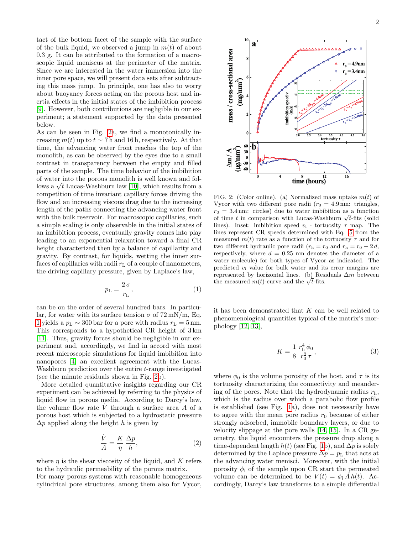tact of the bottom facet of the sample with the surface of the bulk liquid, we observed a jump in  $m(t)$  of about 0.3 g. It can be attributed to the formation of a macroscopic liquid meniscus at the perimeter of the matrix. Since we are interested in the water immersion into the inner pore space, we will present data sets after subtracting this mass jump. In principle, one has also to worry about buoyancy forces acting on the porous host and inertia effects in the initial states of the imbibition process [\[9\]](#page-3-8). However, both contributions are negligible in our experiment; a statement supported by the data presented below.

As can be seen in Fig. [2a](#page-1-0), we find a monotonically increasing  $m(t)$  up to  $t \sim 7$  h and 16 h, respectively. At that time, the advancing water front reaches the top of the monolith, as can be observed by the eyes due to a small contrast in transparency between the empty and filled parts of the sample. The time behavior of the imbibition of water into the porous monolith is well known and folor water into the porous monolith is well known and follows a  $\sqrt{t}$  Lucas-Washburn law [\[10\]](#page-3-9), which results from a competition of time invariant capillary forces driving the flow and an increasing viscous drag due to the increasing length of the paths connecting the advancing water front with the bulk reservoir. For macroscopic capillaries, such a simple scaling is only observable in the initial states of an imbibition process, eventually gravity comes into play leading to an exponential relaxation toward a final CR height characterized then by a balance of capillarity and gravity. By contrast, for liquids, wetting the inner surfaces of capillaries with radii  $r<sub>L</sub>$  of a couple of nanometers, the driving capillary pressure, given by Laplace's law,

<span id="page-1-1"></span>
$$
p_{\rm L} = \frac{2\,\sigma}{r_{\rm L}},\tag{1}
$$

can be on the order of several hundred bars. In particular, for water with its surface tension  $\sigma$  of  $72 \text{ mN/m}$ , Eq. [1](#page-1-1) yields a  $p_L \sim 300$  bar for a pore with radius  $r_L = 5$  nm. This corresponds to a hypothetical CR height of 3 km [\[11\]](#page-3-10). Thus, gravity forces should be negligible in our experiment and, accordingly, we find in accord with most recent microscopic simulations for liquid imbibition into nanopores [\[4\]](#page-3-3) an excellent agreement with the Lucas-Washburn prediction over the entire t-range investigated (see the minute residuals shown in Fig. [2b](#page-1-0)).

More detailed quantitative insights regarding our CR experiment can be achieved by referring to the physics of liquid flow in porous media. According to Darcy's law, the volume flow rate  $\dot{V}$  through a surface area  $\dot{A}$  of a porous host which is subjected to a hydrostatic pressure  $\Delta p$  applied along the height h is given by

$$
\frac{\dot{V}}{A} = \frac{K}{\eta} \frac{\Delta p}{h},\tag{2}
$$

where  $\eta$  is the shear viscosity of the liquid, and K refers to the hydraulic permeability of the porous matrix.

For many porous systems with reasonable homogeneous cylindrical pore structures, among them also for Vycor,

<span id="page-1-0"></span>FIG. 2: (Color online). (a) Normalized mass uptake  $m(t)$  of Vycor with two different pore radii  $(r_0 = 4.9 \,\text{nm}$ : triangles,  $r_0 = 3.4$  nm: circles) due to water imbibition as a function  $r_0 = 3.4$  nm: circles) due to water imbibition as a function<br>of time t in comparison with Lucas-Washburn  $\sqrt{t}$ -fits (solid lines). Inset: imbibition speed  $v_i$  - tortuosity  $\tau$  map. The lines represent CR speeds determined with Eq. [5](#page-2-0) from the measured  $m(t)$  rate as a function of the tortuosity  $\tau$  and for two different hydraulic pore radii  $(r_h = r_0 \text{ and } r_h = r_0 - 2d,$ respectively, where  $d = 0.25$  nm denotes the diameter of a water molecule) for both types of Vycor as indicated. The predicted  $v_i$  value for bulk water and its error margins are represented by horizontal lines. (b) Residuals ∆m between represented by norizontal lines. (b) Res<br>the measured  $m(t)$ -curve and the  $\sqrt{t}$ -fits.

it has been demonstrated that  $K$  can be well related to phenomenological quantities typical of the matrix's morphology [\[12,](#page-3-11) [13\]](#page-3-12),

<span id="page-1-2"></span>
$$
K = \frac{1}{8} \frac{r_h^4 \phi_0}{r_0^2 \tau},
$$
\n(3)

where  $\phi_0$  is the volume porosity of the host, and  $\tau$  is its tortuosity characterizing the connectivity and meandering of the pores. Note that the hydrodynamic radius  $r<sub>h</sub>$ , which is the radius over which a parabolic flow profile is established (see Fig. [1a](#page-0-2)), does not necessarily have to agree with the mean pore radius  $r_0$  because of either strongly adsorbed, immobile boundary layers, or due to velocity slippage at the pore walls [\[14,](#page-3-13) [15\]](#page-3-14). In a CR geometry, the liquid encounters the pressure drop along a time-dependent length  $h(t)$  (see Fig. [1b](#page-0-2)), and  $\Delta p$  is solely determined by the Laplace pressure  $\Delta p = p_{\text{L}}$  that acts at the advancing water menisci. Moreover, with the initial porosity  $\phi_i$  of the sample upon CR start the permeated volume can be determined to be  $V(t) = \phi_i Ah(t)$ . Accordingly, Darcy's law transforms to a simple differential

2

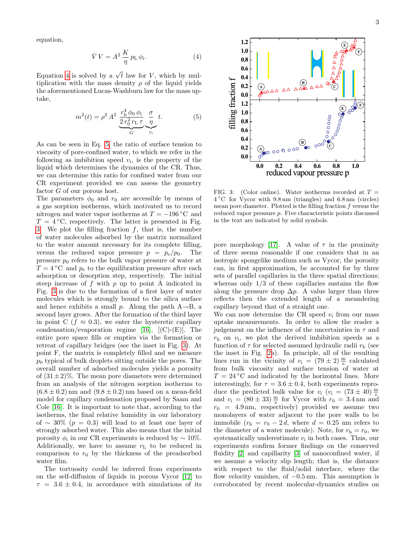equation,

<span id="page-2-1"></span>
$$
\dot{V}V = A^2 \frac{K}{\eta} p_{\rm L} \phi_{\rm i}.
$$
\n(4)

Equation [4](#page-2-1) is solved by a  $\sqrt{t}$  law for V, which by multiplication with the mass density  $\rho$  of the liquid yields the aforementioned Lucas-Washburn law for the mass uptake,

<span id="page-2-0"></span>
$$
m^{2}(t) = \rho^{2} A^{2} \underbrace{\frac{r_{h}^{4} \phi_{0} \phi_{i}}{2 r_{0}^{2} r_{L} \tau}}_{G} \underbrace{\frac{\sigma}{\eta}}_{v_{i}} t. \tag{5}
$$

As can be seen in Eq. [5,](#page-2-0) the ratio of surface tension to viscosity of pore-confined water, to which we refer in the following as imbibition speed  $v_i$ , is the property of the liquid which determines the dynamics of the CR. Thus, we can determine this ratio for confined water from our CR experiment provided we can assess the geometry factor G of our porous host.

The parameters  $\phi_0$  and  $r_0$  are accessible by means of a gas sorption isotherms, which motivated us to record nitrogen and water vapor isotherms at  $T = -196 \degree C$  and  $T = 4$  °C, respectively. The latter is presented in Fig. [3.](#page-2-2) We plot the filling fraction  $f$ , that is, the number of water molecules adsorbed by the matrix normalized to the water amount necessary for its complete filling, versus the reduced vapor pressure  $p = p_e/p_0$ . The pressure  $p_0$  refers to the bulk vapor pressure of water at  $T = 4$  °C and  $p_e$  to the equilibration pressure after each adsorption or desorption step, respectively. The initial steep increase of  $f$  with  $p$  up to point A indicated in Fig. [3](#page-2-2) is due to the formation of a first layer of water molecules which is strongly bound to the silica surface and hence exhibits a small p. Along the path  $A\rightarrow B$ , a second layer grows. After the formation of the third layer in point C ( $f \approx 0.3$ ), we enter the hysteretic capillary condensation/evaporation regime [\[16\]](#page-3-15),  $[(C)-(E)]$ . The entire pore space fills or empties via the formation or retreat of capillary bridges (see the inset in Fig. [3\)](#page-2-2). At point F, the matrix is completely filled and we measure  $p_0$  typical of bulk droplets sitting outside the pores. The overall number of adsorbed molecules yields a porosity of  $(31 \pm 2)\%$ . The mean pore diameters were determined from an analysis of the nitrogen sorption isotherms to  $(6.8 \pm 0.2)$  nm and  $(9.8 \pm 0.2)$  nm based on a mean-field model for capillary condensation proposed by Saam and Cole [\[16\]](#page-3-15). It is important to note that, according to the isotherms, the final relative humidity in our laboratory of ~ 30% ( $p = 0.3$ ) will lead to at least one layer of strongly adsorbed water. This also means that the initial porosity  $\phi_i$  in our CR experiments is reduced by  $\sim 10\%$ . Additionally, we have to assume  $r<sub>L</sub>$  to be reduced in comparison to  $r_0$  by the thickness of the preadsorbed water film.

The tortuosity could be inferred from experiments on the self-diffusion of liquids in porous Vycor [\[12\]](#page-3-11) to  $\tau = 3.6 \pm 0.4$ , in accordance with simulations of its



<span id="page-2-2"></span>FIG. 3: (Color online). Water isotherms recorded at  $T =$ 4 ◦C for Vycor with 9.8 nm (triangles) and 6.8 nm (circles) mean pore diameter. Plotted is the filling fraction  $f$  versus the reduced vapor pressure p. Five characteristic points discussed in the text are indicated by solid symbols.

pore morphology [\[17\]](#page-3-16). A value of  $\tau$  in the proximity of three seems reasonable if one considers that in an isotropic spongelike medium such as Vycor, the porosity can, in first approximation, be accounted for by three sets of parallel capillaries in the three spatial directions; whereas only  $1/3$  of these capillaries sustains the flow along the pressure drop  $\Delta p$ . A value larger than three reflects then the extended length of a meandering capillary beyond that of a straight one.

We can now determine the CR speed  $v_i$  from our mass uptake measurements. In order to allow the reader a judgement on the influence of the uncertainties in  $\tau$  and  $r<sub>h</sub>$  on  $v<sub>i</sub>$ , we plot the derived imbibition speeds as a function of  $\tau$  for selected assumed hydraulic radii  $r<sub>h</sub>$  (see the inset in Fig. [2a](#page-1-0)). In principle, all of the resulting lines run in the vicinity of  $v_i = (79 \pm 2) \frac{m}{s}$  calculated from bulk viscosity and surface tension of water at  $T = 24\degree C$  and indicated by the horizontal lines. More interestingly, for  $\tau = 3.6 \pm 0.4$ , both experiments reproduce the predicted bulk value for  $v_i$  ( $v_i$  = (73 ± 40)  $\frac{m}{s}$ and  $v_i = (80 \pm 33) \frac{m}{s}$  for Vycor with  $r_0 = 3.4$  nm and  $r_0 = 4.9$  nm, respectively) provided we assume two monolayers of water adjacent to the pore walls to be immobile  $(r_h = r_0 - 2d$ , where  $d = 0.25$  nm refers to the diameter of a water molecule). Note, for  $r_h = r_0$ , we systematically underestimate  $v_i$  in both cases. Thus, our experiments confirm former findings on the conserved fluidity [\[2\]](#page-3-1) and capillarity [\[3\]](#page-3-2) of nanoconfined water, if we assume a velocity slip length; that is, the distance with respect to the fluid/solid interface, where the flow velocity vanishes, of  $-0.5$  nm. This assumption is corroborated by recent molecular-dynamics studies on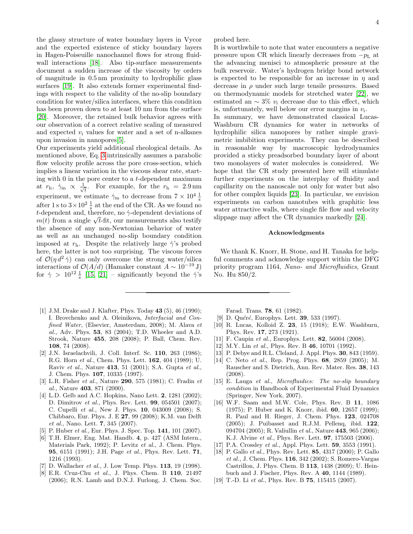the glassy structure of water boundary layers in Vycor and the expected existence of sticky boundary layers in Hagen-Poiseuille nanochannel flows for strong fluidwall interactions [\[18\]](#page-3-17). Also tip-surface measurements document a sudden increase of the viscosity by orders of magnitude in 0.5 nm proximity to hydrophilic glass surfaces [\[19\]](#page-3-18). It also extends former experimental findings with respect to the validity of the no-slip boundary condition for water/silica interfaces, where this condition has been proven down to at least 10 nm from the surface [\[20\]](#page-4-0). Moreover, the retained bulk behavior agrees with our observation of a correct relative scaling of measured and expected  $v_i$  values for water and a set of n-alkanes upon invasion in nanopores[\[5\]](#page-3-4).

Our experiments yield additional rheological details. As mentioned above, Eq. [3](#page-1-2) intrinsically assumes a parabolic flow velocity profile across the pore cross-section, which implies a linear variation in the viscous shear rate, starting with  $0$  in the pore center to a  $t$ -dependent maximum at  $r_{\rm h}$ ,  $\dot{\gamma}_{\rm m} \propto \frac{1}{\sqrt{2}}$  $\overline{t}_{\overline{t}}$ . For example, for the  $r_{\rm h} = 2.9 \,\rm nm$ experiment, we estimate  $\dot{\gamma}_{m}$  to decrease from  $7 \times 10^{4} \frac{1}{s}$ after 1 s to  $3 \times 10^2 \frac{1}{s}$  at the end of the CR. As we found no t-dependent and, therefore, no  $\dot{\gamma}$ -dependent deviations of t-dependent and, therefore, no  $\gamma$ -dependent deviations of  $m(t)$  from a single  $\sqrt{t}$ -fit, our measurements also testify the absence of any non-Newtonian behavior of water as well as an unchanged no-slip boundary condition imposed at  $r<sub>h</sub>$ . Despite the relatively large  $\dot{\gamma}$ 's probed here, the latter is not too surprising. The viscous forces of  $\mathcal{O}(\eta d^2 \dot{\gamma})$  can only overcome the strong water/silica interactions of  $\mathcal{O}(A/d)$  (Hamaker constant  $A \sim 10^{-19}$  J) for  $\dot{\gamma} > 10^{12} \frac{1}{s}$  [\[15,](#page-3-14) [21\]](#page-4-1) – significantly beyond the  $\dot{\gamma}$ 's

- <span id="page-3-0"></span>[1] J.M. Drake and J. Klafter, Phys. Today 43 (5), 46 (1990); I. Brovchenko and A. Oleinikova, Interfacial and Confined Water, (Elsevier, Amsterdam, 2008); M. Alava et al., Adv. Phys. 53, 83 (2004); T.D. Wheeler and A.D. Strook, Nature 455, 208 (2008); P. Ball, Chem. Rev. 108, 74 (2008).
- <span id="page-3-1"></span>[2] J.N. Israelachvili, J. Coll. Interf. Sc. 110, 263 (1986); R.G. Horn et al., Chem. Phys. Lett. 162, 404 (1989); U. Raviv et al., Nature 413, 51 (2001); S.A. Gupta et al., J. Chem. Phys. 107, 10335 (1997).
- <span id="page-3-2"></span>[3] L.R. Fisher et al., Nature 290, 575 (1981); C. Fradin et al., Nature 403, 871 (2000).
- <span id="page-3-3"></span>[4] L.D. Gelb and A.C. Hopkins, Nano Lett. **2**, 1281 (2002); D. Dimitrov et al., Phys. Rev. Lett. 99, 054501 (2007); C. Cupelli et al., New J. Phys. 10, 043009 (2008); S. Chibbaro, Eur. Phys. J. E 27, 99 (2008); K.M. van Delft et al., Nano. Lett. 7, 345 (2007).
- <span id="page-3-4"></span>[5] P. Huber et al., Eur. Phys. J. Spec. Top. 141, 101 (2007).
- <span id="page-3-5"></span>[6] T.H. Elmer, Eng. Mat. Handb. 4, p. 427 (ASM Intern., Materials Park, 1992); P. Levitz et al., J. Chem. Phys. 95, 6151 (1991); J.H. Page et al., Phys. Rev. Lett. 71, 1216 (1993).
- <span id="page-3-6"></span>[7] D. Wallacher *et al.*, J. Low Temp. Phys.  $113$ , 19 (1998).
- <span id="page-3-7"></span>[8] E.R. Cruz-Chu et al., J. Phys. Chem. B 110, 21497 (2006); R.N. Lamb and D.N.J. Furlong, J. Chem. Soc.

probed here.

It is worthwhile to note that water encounters a negative pressure upon CR which linearly decreases from  $-p<sub>L</sub>$  at the advancing menisci to atmospheric pressure at the bulk reservoir. Water's hydrogen bridge bond network is expected to be responsible for an increase in  $\eta$  and decrease in  $\rho$  under such large tensile pressures. Based on thermodynamic models for stretched water [\[22\]](#page-4-2), we estimated an  $\sim$  3% v; decrease due to this effect, which is, unfortunately, well below our error margins in  $v_i$ .

In summary, we have demonstrated classical Lucas-Washburn CR dynamics for water in networks of hydrophilic silica nanopores by rather simple gravimetric imbibition experiments. They can be described in reasonable way by macroscopic hydrodynamics provided a sticky preadsorbed boundary layer of about two monolayers of water molecules is considered. We hope that the CR study presented here will stimulate further experiments on the interplay of fluidity and capillarity on the nanoscale not only for water but also for other complex liquids [\[23\]](#page-4-3). In particular, we envision experiments on carbon nanotubes with graphitic less water attractive walls, where single file flow and velocity slippage may affect the CR dynamics markedly [\[24\]](#page-4-4).

## Acknowledgments

We thank K. Knorr, H. Stone, and H. Tanaka for helpful comments and acknowledge support within the DFG priority program 1164, Nano- and Microfluidics, Grant No. Hu 850/2.

Farad. Trans. 78, 61 (1982).

- <span id="page-3-8"></span>[9] D. Quéré, Europhys. Lett. **39**, 533 (1997).
- <span id="page-3-9"></span>[10] R. Lucas, Kolloid Z. 23, 15 (1918); E.W. Washburn, Phys. Rev. 17, 273 (1921).
- <span id="page-3-10"></span>[11] F. Caupin *et al.*, Europhys. Lett. **82**, 56004 (2008).
- <span id="page-3-11"></span>[12] M.Y. Lin et al., Phys. Rev. B  $46$ , 10701 (1992).
- <span id="page-3-12"></span>[13] P. Debye and R.L. Cleland, J. Appl. Phys. **30**, 843 (1959).
- <span id="page-3-13"></span>[14] C. Neto et al., Rep. Prog. Phys. 68, 2859 (2005); M. Rauscher and S. Dietrich, Ann. Rev. Mater. Res. 38, 143 (2008).
- <span id="page-3-14"></span>[15] E. Lauga et al., Microfluidics: The no-slip boundary condition in Handbook of Experimental Fluid Dynamics (Springer, New York, 2007).
- <span id="page-3-15"></span>[16] W.F. Saam and M.W. Cole, Phys. Rev. B 11, 1086 (1975); P. Huber and K. Knorr, ibid. 60, 12657 (1999); R. Paul and H. Rieger, J. Chem. Phys. 123, 024708 (2005); J. Puibasset and R.J.M. Pellenq, ibid. 122, 094704 (2005); R. Valiullin et al., Nature 443, 965 (2006); K.J. Alvine et al., Phys. Rev. Lett. 97, 175503 (2006).
- <span id="page-3-16"></span>[17] P.A. Crossley et al., Appl. Phys. Lett. **59**, 3553 (1991).
- <span id="page-3-17"></span>[18] P. Gallo et al., Phys. Rev. Lett. 85, 4317 (2000); P. Gallo et al., J. Chem. Phys. 116, 342 (2002); S. Romero-Vargas Castrillon, J. Phys. Chem. B 113, 1438 (2009); U. Heinbuch and J. Fischer, Phys. Rev. A 40, 1144 (1989).
- <span id="page-3-18"></span>[19] T.-D. Li et al., Phys. Rev. B **75**, 115415 (2007).